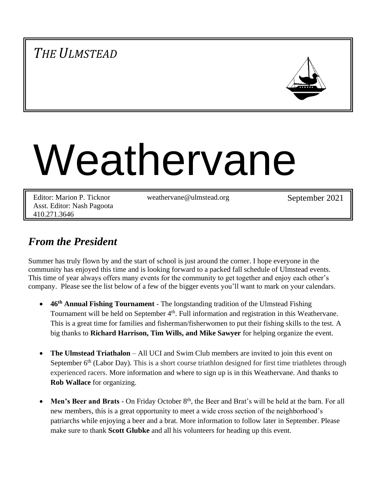# *THE ULMSTEAD*



# Weathervane

Editor: Marion P. Ticknor Asst. Editor: Nash Pagoota 410.271.3646

weathervane@ulmstead.org September 2021

## *From the President*

Summer has truly flown by and the start of school is just around the corner. I hope everyone in the community has enjoyed this time and is looking forward to a packed fall schedule of Ulmstead events. This time of year always offers many events for the community to get together and enjoy each other's company. Please see the list below of a few of the bigger events you'll want to mark on your calendars.

- **46th Annual Fishing Tournament** The longstanding tradition of the Ulmstead Fishing Tournament will be held on September 4<sup>th</sup>. Full information and registration in this Weathervane. This is a great time for families and fisherman/fisherwomen to put their fishing skills to the test. A big thanks to **Richard Harrison, Tim Wills, and Mike Sawyer** for helping organize the event.
- **The Ulmstead Triathalon** All UCI and Swim Club members are invited to join this event on September 6<sup>th</sup> (Labor Day). This is a short course triathlon designed for first time triathletes through experienced racers. More information and where to sign up is in this Weathervane. And thanks to **Rob Wallace** for organizing.
- Men's Beer and Brats On Friday October 8<sup>th</sup>, the Beer and Brat's will be held at the barn. For all new members, this is a great opportunity to meet a wide cross section of the neighborhood's patriarchs while enjoying a beer and a brat. More information to follow later in September. Please make sure to thank **Scott Glubke** and all his volunteers for heading up this event.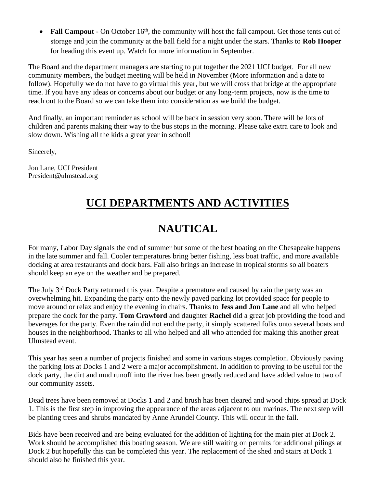• Fall Campout - On October 16<sup>th</sup>, the community will host the fall campout. Get those tents out of storage and join the community at the ball field for a night under the stars. Thanks to **Rob Hooper** for heading this event up. Watch for more information in September.

The Board and the department managers are starting to put together the 2021 UCI budget. For all new community members, the budget meeting will be held in November (More information and a date to follow). Hopefully we do not have to go virtual this year, but we will cross that bridge at the appropriate time. If you have any ideas or concerns about our budget or any long-term projects, now is the time to reach out to the Board so we can take them into consideration as we build the budget.

And finally, an important reminder as school will be back in session very soon. There will be lots of children and parents making their way to the bus stops in the morning. Please take extra care to look and slow down. Wishing all the kids a great year in school!

Sincerely,

Jon Lane, UCI President President@ulmstead.org

## **UCI DEPARTMENTS AND ACTIVITIES**

## **NAUTICAL**

For many, Labor Day signals the end of summer but some of the best boating on the Chesapeake happens in the late summer and fall. Cooler temperatures bring better fishing, less boat traffic, and more available docking at area restaurants and dock bars. Fall also brings an increase in tropical storms so all boaters should keep an eye on the weather and be prepared.

The July 3<sup>rd</sup> Dock Party returned this year. Despite a premature end caused by rain the party was an overwhelming hit. Expanding the party onto the newly paved parking lot provided space for people to move around or relax and enjoy the evening in chairs. Thanks to **Jess and Jon Lane** and all who helped prepare the dock for the party. **Tom Crawford** and daughter **Rachel** did a great job providing the food and beverages for the party. Even the rain did not end the party, it simply scattered folks onto several boats and houses in the neighborhood. Thanks to all who helped and all who attended for making this another great Ulmstead event.

This year has seen a number of projects finished and some in various stages completion. Obviously paving the parking lots at Docks 1 and 2 were a major accomplishment. In addition to proving to be useful for the dock party, the dirt and mud runoff into the river has been greatly reduced and have added value to two of our community assets.

Dead trees have been removed at Docks 1 and 2 and brush has been cleared and wood chips spread at Dock 1. This is the first step in improving the appearance of the areas adjacent to our marinas. The next step will be planting trees and shrubs mandated by Anne Arundel County. This will occur in the fall.

Bids have been received and are being evaluated for the addition of lighting for the main pier at Dock 2. Work should be accomplished this boating season. We are still waiting on permits for additional pilings at Dock 2 but hopefully this can be completed this year. The replacement of the shed and stairs at Dock 1 should also be finished this year.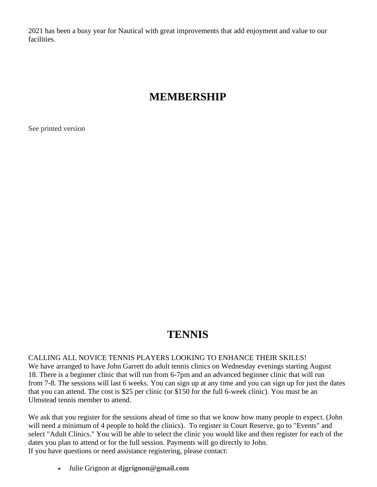2021 has been a busy year for Nautical with great improvements that add enjoyment and value to our facilities.

## **MEMBERSHIP**

See printed version

# **TENNIS**

CALLING ALL NOVICE TENNIS PLAYERS LOOKING TO ENHANCE THEIR SKILLS! We have arranged to have John Garrett do adult tennis clinics on Wednesday evenings starting August 18. There is a beginner clinic that will run from 6-7pm and an advanced beginner clinic that will run from 7-8. The sessions will last 6 weeks. You can sign up at any time and you can sign up for just the dates that you can attend. The cost is \$25 per clinic (or \$150 for the full 6-week clinic). You must be an Ulmstead tennis member to attend.

We ask that you register for the sessions ahead of time so that we know how many people to expect. (John will need a minimum of 4 people to hold the clinics). To register in Court Reserve, go to "Events" and select "Adult Clinics." You will be able to select the clinic you would like and then register for each of the dates you plan to attend or for the full session. Payments will go directly to John. If you have questions or need assistance registering, please contact:

• Julie Grignon at **djgrignon@gmail.com**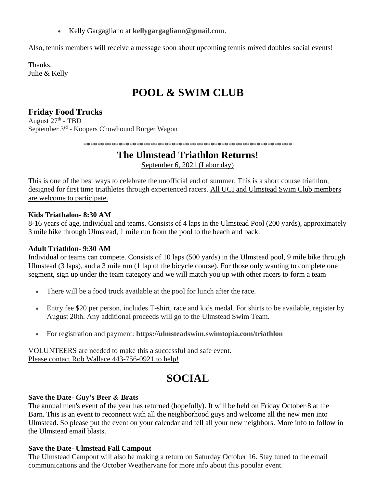• Kelly Gargagliano at **kellygargagliano@gmail.com**.

Also, tennis members will receive a message soon about upcoming tennis mixed doubles social events!

Thanks, Julie & Kelly

# **POOL & SWIM CLUB**

## **Friday Food Trucks**

August 27<sup>th</sup> - TBD September 3<sup>rd</sup> - Koopers Chowhound Burger Wagon

\*\*\*\*\*\*\*\*\*\*\*\*\*\*\*\*\*\*\*\*\*\*\*\*\*\*\*\*\*\*\*\*\*\*\*\*\*\*\*\*\*\*\*\*\*\*\*\*\*\*\*\*\*\*\*\*\*\*\*

## **The Ulmstead Triathlon Returns!**

September 6, 2021 (Labor day)

This is one of the best ways to celebrate the unofficial end of summer. This is a short course triathlon, designed for first time triathletes through experienced racers. All UCI and Ulmstead Swim Club members are welcome to participate.

#### **Kids Triathalon- 8:30 AM**

8-16 years of age, individual and teams. Consists of 4 laps in the Ulmstead Pool (200 yards), approximately 3 mile bike through Ulmstead, 1 mile run from the pool to the beach and back.

#### **Adult Triathlon- 9:30 AM**

Individual or teams can compete. Consists of 10 laps (500 yards) in the Ulmstead pool, 9 mile bike through Ulmstead (3 laps), and a 3 mile run (1 lap of the bicycle course). For those only wanting to complete one segment, sign up under the team category and we will match you up with other racers to form a team

- There will be a food truck available at the pool for lunch after the race.
- Entry fee \$20 per person, includes T-shirt, race and kids medal. For shirts to be available, register by August 20th. Any additional proceeds will go to the Ulmstead Swim Team.
- For registration and payment: **https://ulmsteadswim.swimtopia.com/triathlon**

VOLUNTEERS are needed to make this a successful and safe event. Please contact Rob Wallace 443-756-0921 to help!

# **SOCIAL**

#### **Save the Date- Guy's Beer & Brats**

The annual men's event of the year has returned (hopefully). It will be held on Friday October 8 at the Barn. This is an event to reconnect with all the neighborhood guys and welcome all the new men into Ulmstead. So please put the event on your calendar and tell all your new neighbors. More info to follow in the Ulmstead email blasts.

#### **Save the Date- Ulmstead Fall Campout**

The Ulmstead Campout will also be making a return on Saturday October 16. Stay tuned to the email communications and the October Weathervane for more info about this popular event.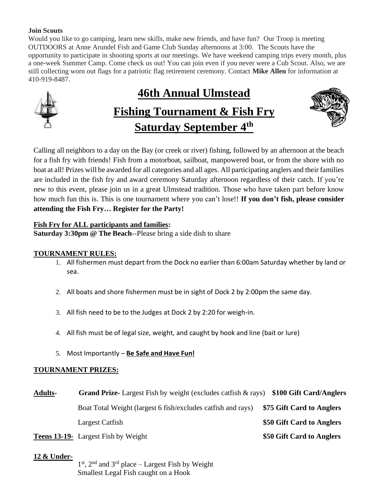#### **Join Scouts**

Would you like to go camping, learn new skills, make new friends, and have fun? Our Troop is meeting OUTDOORS at Anne Arundel Fish and Game Club Sunday afternoons at 3:00. The Scouts have the opportunity to participate in shooting sports at our meetings. We have weekend camping trips every month, plus a one-week Summer Camp. Come check us out! You can join even if you never were a Cub Scout. Also, we are still collecting worn out flags for a patriotic flag retirement ceremony. Contact **Mike Allen** for information at 410-919-8487.

# **46th Annual Ulmstead Fishing Tournament & Fish Fry Saturday September 4th**



Calling all neighbors to a day on the Bay (or creek or river) fishing, followed by an afternoon at the beach for a fish fry with friends! Fish from a motorboat, sailboat, manpowered boat, or from the shore with no boat at all! Prizes will be awarded for all categories and all ages. All participating anglers and their families are included in the fish fry and award ceremony Saturday afternoon regardless of their catch. If you're new to this event, please join us in a great Ulmstead tradition. Those who have taken part before know how much fun this is. This is one tournament where you can't lose!! **If you don't fish, please consider attending the Fish Fry… Register for the Party!**

#### **Fish Fry for ALL participants and families:**

**Saturday 3:30pm @ The Beach**--Please bring a side dish to share

## **TOURNAMENT RULES:**

- 1. All fishermen must depart from the Dock no earlier than 6:00am Saturday whether by land or sea.
- 2. All boats and shore fishermen must be in sight of Dock 2 by 2:00pm the same day.
- 3. All fish need to be to the Judges at Dock 2 by 2:20 for weigh-in.
- 4. All fish must be of legal size, weight, and caught by hook and line (bait or lure)
- 5. Most Importantly **Be Safe and Have Fun!**

## **TOURNAMENT PRIZES:**

| <b>Adults-</b> | <b>Grand Prize-</b> Largest Fish by weight (excludes catfish & rays)                                                                                                                                                                                                                                                               | \$100 Gift Card/Anglers   |
|----------------|------------------------------------------------------------------------------------------------------------------------------------------------------------------------------------------------------------------------------------------------------------------------------------------------------------------------------------|---------------------------|
|                | Boat Total Weight (largest 6 fish/excludes catfish and rays)                                                                                                                                                                                                                                                                       | \$75 Gift Card to Anglers |
|                | Largest Catfish                                                                                                                                                                                                                                                                                                                    | \$50 Gift Card to Anglers |
|                | $\mathbf{1}$ $\mathbf{1}$ $\mathbf{0}$ $\mathbf{1}$ $\mathbf{1}$ $\mathbf{1}$ $\mathbf{1}$ $\mathbf{1}$ $\mathbf{1}$ $\mathbf{1}$ $\mathbf{1}$ $\mathbf{1}$ $\mathbf{1}$ $\mathbf{1}$ $\mathbf{1}$ $\mathbf{1}$ $\mathbf{1}$ $\mathbf{1}$ $\mathbf{1}$ $\mathbf{1}$ $\mathbf{1}$ $\mathbf{1}$ $\mathbf{1}$ $\mathbf{1}$ $\mathbf{$ |                           |

**Teens 13-19-** Largest Fish by Weight **\$50 Gift Card to Anglers**

#### **12 & Under-**

1<sup>st</sup>, 2<sup>nd</sup> and 3<sup>rd</sup> place – Largest Fish by Weight Smallest Legal Fish caught on a Hook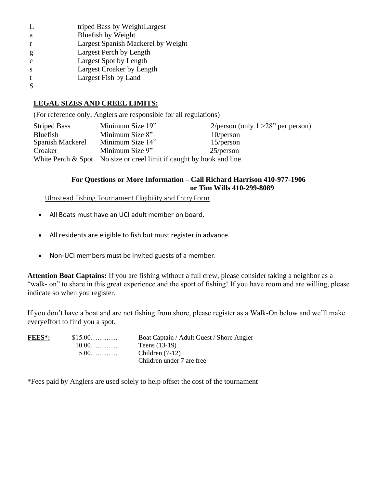| L            | triped Bass by WeightLargest       |
|--------------|------------------------------------|
| a            | Bluefish by Weight                 |
| r            | Largest Spanish Mackerel by Weight |
| g            | Largest Perch by Length            |
| e            | Largest Spot by Length             |
| <sup>S</sup> | Largest Croaker by Length          |
| t            | Largest Fish by Land               |
|              |                                    |

#### **LEGAL SIZES AND CREEL LIMITS:**

(For reference only, Anglers are responsible for all regulations)

Striped Bass Minimum Size 19" 2/person (only 1 > 28" per person) Bluefish Minimum Size 8" 10/person<br>Spanish Mackerel Minimum Size 14" 15/person Spanish Mackerel Croaker Minimum Size 9" 25/person White Perch  $&$  Spot No size or creel limit if caught by hook and line.

#### **For Questions or More Information – Call Richard Harrison 410-977-1906 or Tim Wills 410-299-8089**

Ulmstead Fishing Tournament Eligibility and Entry Form

- All Boats must have an UCI adult member on board.
- All residents are eligible to fish but must register in advance.
- Non-UCI members must be invited guests of a member.

**Attention Boat Captains:** If you are fishing without a full crew, please consider taking a neighbor as a "walk- on" to share in this great experience and the sport of fishing! If you have room and are willing, please indicate so when you register.

If you don't have a boat and are not fishing from shore, please register as a Walk-On below and we'll make everyeffort to find you a spot.

| FEES*: | $$15.00$ | Boat Captain / Adult Guest / Shore Angler |  |  |
|--------|----------|-------------------------------------------|--|--|
|        | $10.00$  | Teens $(13-19)$                           |  |  |
|        | $5.00$   | Children $(7-12)$                         |  |  |
|        |          | Children under 7 are free                 |  |  |

\*Fees paid by Anglers are used solely to help offset the cost of the tournament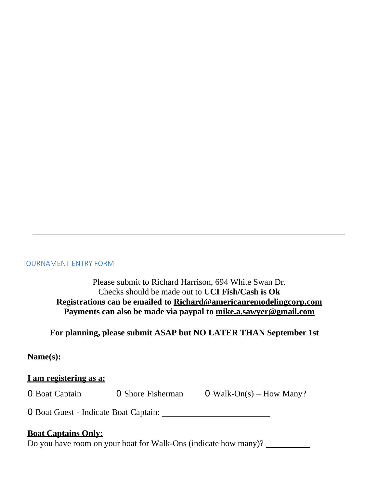#### TOURNAMENT ENTRY FORM

Please submit to Richard Harrison, 694 White Swan Dr. Checks should be made out to **UCI Fish/Cash is Ok Registrations can be emailed to Richard@americanremodelingcorp.com Payments can also be made via paypal to mike.a.sawyer@gmail.com**

## **For planning, please submit ASAP but NO LATER THAN September 1st**

**Name(s):** 

## **I am registering as a:**

0 Boat Captain 0 Shore Fisherman 0 Walk-On(s) – How Many?

0 Boat Guest - Indicate Boat Captain:

## **Boat Captains Only:**

Do you have room on your boat for Walk-Ons (indicate how many)?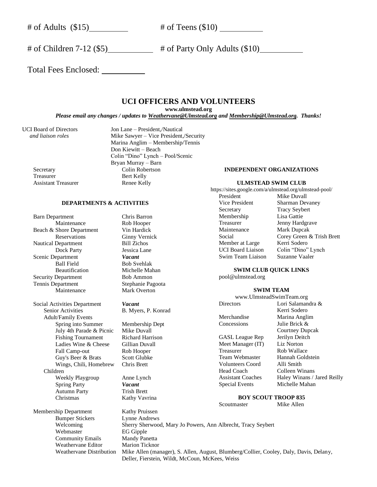$\#$  of Adults (\$15)  $\#$  of Teens (\$10)

# of Children 7-12 (\$5)  $\qquad$  # of Party Only Adults (\$10)

Total Fees Enclosed:

#### **UCI OFFICERS AND VOLUNTEERS**

**www.ulmstead.org**

*Please email any changes / updates to Weathervane@Ulmstead.org and Membership@Ulmstead.org. Thanks!*

Assistant Treasurer Renee Kelly

UCI Board of Directors Jon Lane – President,/Nautical  *and liaison roles* Mike Sawyer – Vice President,/Security Marina Anglim – Membership/Tennis Don Kiewitt – Beach Colin "Dino" Lynch – Pool/Scenic Bryan Murray – Barn Secretary Colin Robertson<br>Treasurer Bert Kelly Bert Kelly

#### **DEPARTMENTS & ACTIVITIES**

Barn Department Chris Barron<br>Maintenance Rob Hooper Maintenance Beach & Shore Department Vin Hardick Reservations Ginny Vernick<br>
Department Bill Zichos Nautical Department Dock Party<br>
epartment<br>
Vacant **Scenic Department** Ball Field Bob Svehlak Beautification Michelle Mahan<br>Department Bob Ammon Security Department Tennis Department Stephanie Pagoota Maintenance Mark Overton

Social Activities Department *Vacant*<br>Senior Activities **B.** Myer Adult/Family Events Spring into Summer Membership Dept July 4th Parade & Picnic Mike Duvall Fishing Tournament Richard Harrison Ladies Wine & Cheese Gillian Duvall Fall Camp-out Rob Hooper Guy's Beer & Brats Scott Glubke Wings, Chili, Homebrew Chris Brett Children Weekly Playgroup Anne Lynch Spring Party *Vacant* Autumn Party Trish Brett Christmas Kathy Vavrina

Membership Department Kathy Pruissen Bumper Stickers Lynne Andrews Webmaster EG Gipple Community Emails Mandy Panetta Weathervane Editor Marion Ticknor

B. Myers, P. Konrad

#### **INDEPENDENT ORGANIZATIONS**

#### **ULMSTEAD SWIM CLUB**

https://sites.google.com/a/ulmstead.org/ulmstead-pool/ President Mike Duvall Vice President Sharman Devaney

Secretary Tracy Seybert<br>Membership Lisa Gattie Membership Treasurer Jenny Hardgrave<br>
Maintenance Mark Duncak Mark Dupcak Social Corey Green & Trish Brett<br>
Member at Large Kerri Sodero Member at Large UCI Board Liaison Colin "Dino" Lynch Swim Team Liaison Suzanne Vaaler

#### **SWIM CLUB QUICK LINKS**

pool@ulmstead.org

#### **SWIM TEAM**

www.UlmsteadSwimTeam.org Directors Lori Salamandra & Kerri Sodero Merchandise Marina Anglim Concessions Julie Brick & Courtney Dupcak GASL League Rep Jerilyn Deitch Meet Manager (IT) Liz Norton Treasurer Rob Wallace Team Webmaster Hannah Goldstein Volunteers Coord Alli Smith Head Coach Colleen Winans Assistant Coaches Haley Winans / Jared Reilly Special Events Michelle Mahan

#### **BOY SCOUT TROOP 835**

Scoutmaster Mike Allen

Welcoming Sherry Sherwood, Mary Jo Powers, Ann Albrecht, Tracy Seybert Weathervane Distribution Mike Allen (manager), S. Allen, August, Blumberg/Collier, Cooley, Daly, Davis, Delany, Deller, Fierstein, Wildt, McCoun, McKees, Weiss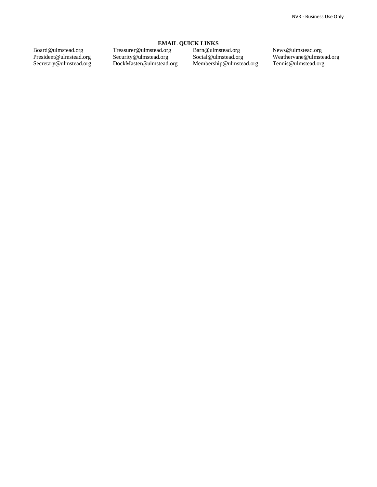Board@ulmstead.org President@ulmstead.org Secretary@ulmstead.org **EMAIL QUICK LINKS**

Treasurer@ulmstead.org Security@ulmstead.org DockMaster@ulmstead.org

Barn@ulmstead.org Social@ulmstead.org Membership@ulmstead.org News@ulmstead.org Weathervane@ulmstead.org Tennis@ulmstead.org